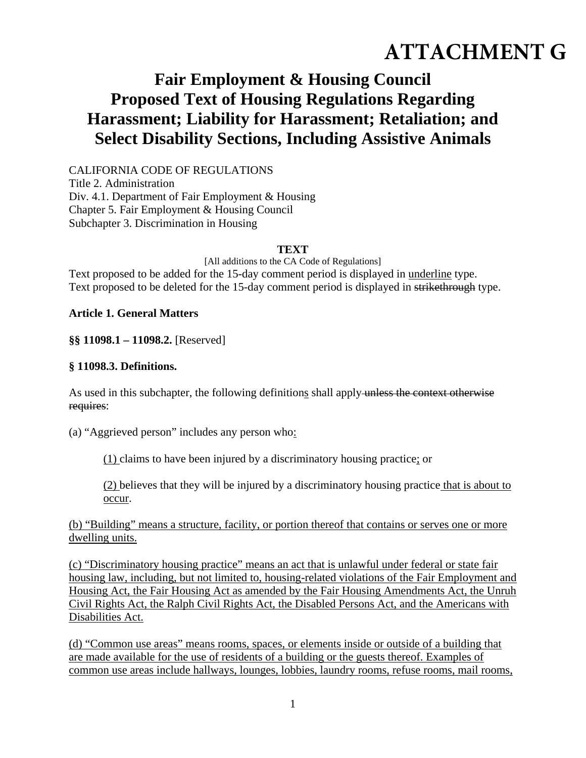# **ATTACHMENT G**

# **Fair Employment & Housing Council Proposed Text of Housing Regulations Regarding Harassment; Liability for Harassment; Retaliation; and Select Disability Sections, Including Assistive Animals**

CALIFORNIA CODE OF REGULATIONS Title 2. Administration Div. 4.1. Department of Fair Employment & Housing Chapter 5. Fair Employment & Housing Council Subchapter 3. Discrimination in Housing

#### **TEXT**

[All additions to the CA Code of Regulations] Text proposed to be added for the 15-day comment period is displayed in underline type. Text proposed to be deleted for the 15-day comment period is displayed in strikethrough type.

#### **Article 1. General Matters**

**§§ 11098.1 – 11098.2.** [Reserved]

#### **§ 11098.3. Definitions.**

As used in this subchapter, the following definitions shall apply unless the context otherwise requires:

(a) "Aggrieved person" includes any person who:

(1) claims to have been injured by a discriminatory housing practice; or

(2) believes that they will be injured by a discriminatory housing practice that is about to occur.

(b) "Building" means a structure, facility, or portion thereof that contains or serves one or more dwelling units.

(c) "Discriminatory housing practice" means an act that is unlawful under federal or state fair housing law, including, but not limited to, housing-related violations of the Fair Employment and Housing Act, the Fair Housing Act as amended by the Fair Housing Amendments Act, the Unruh Civil Rights Act, the Ralph Civil Rights Act, the Disabled Persons Act, and the Americans with Disabilities Act.

(d) "Common use areas" means rooms, spaces, or elements inside or outside of a building that are made available for the use of residents of a building or the guests thereof. Examples of common use areas include hallways, lounges, lobbies, laundry rooms, refuse rooms, mail rooms,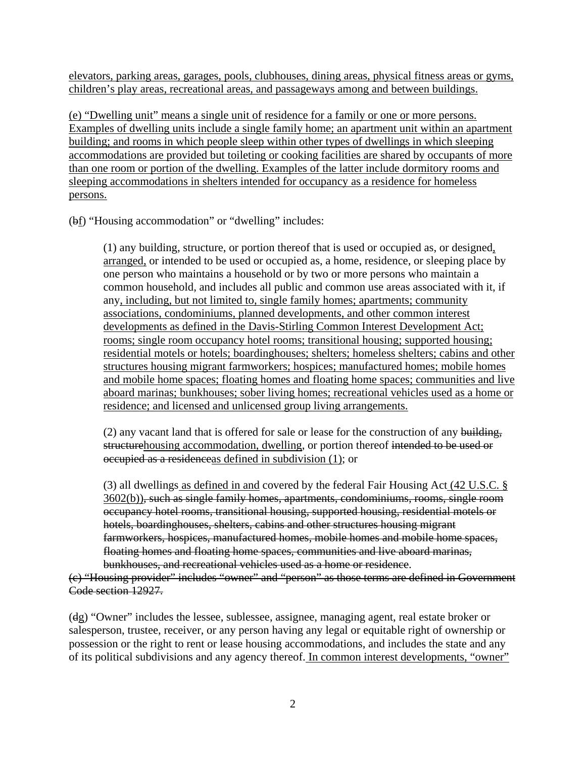elevators, parking areas, garages, pools, clubhouses, dining areas, physical fitness areas or gyms, children's play areas, recreational areas, and passageways among and between buildings.

(e) "Dwelling unit" means a single unit of residence for a family or one or more persons. Examples of dwelling units include a single family home; an apartment unit within an apartment building; and rooms in which people sleep within other types of dwellings in which sleeping accommodations are provided but toileting or cooking facilities are shared by occupants of more than one room or portion of the dwelling. Examples of the latter include dormitory rooms and sleeping accommodations in shelters intended for occupancy as a residence for homeless persons.

(bf) "Housing accommodation" or "dwelling" includes:

(1) any building, structure, or portion thereof that is used or occupied as, or designed, arranged, or intended to be used or occupied as, a home, residence, or sleeping place by one person who maintains a household or by two or more persons who maintain a common household, and includes all public and common use areas associated with it, if any, including, but not limited to, single family homes; apartments; community associations, condominiums, planned developments, and other common interest developments as defined in the Davis-Stirling Common Interest Development Act; rooms; single room occupancy hotel rooms; transitional housing; supported housing; residential motels or hotels; boardinghouses; shelters; homeless shelters; cabins and other structures housing migrant farmworkers; hospices; manufactured homes; mobile homes and mobile home spaces; floating homes and floating home spaces; communities and live aboard marinas; bunkhouses; sober living homes; recreational vehicles used as a home or residence; and licensed and unlicensed group living arrangements.

 $(2)$  any vacant land that is offered for sale or lease for the construction of any building, structurehousing accommodation, dwelling, or portion thereof intended to be used or occupied as a residenceas defined in subdivision (1); or

(3) all dwellings as defined in and covered by the federal Fair Housing Act (42 U.S.C. § 3602(b)), such as single family homes, apartments, condominiums, rooms, single room occupancy hotel rooms, transitional housing, supported housing, residential motels or hotels, boardinghouses, shelters, cabins and other structures housing migrant farmworkers, hospices, manufactured homes, mobile homes and mobile home spaces, floating homes and floating home spaces, communities and live aboard marinas, bunkhouses, and recreational vehicles used as a home or residence.

(c) "Housing provider" includes "owner" and "person" as those terms are defined in Government Code section 12927.

(dg) "Owner" includes the lessee, sublessee, assignee, managing agent, real estate broker or salesperson, trustee, receiver, or any person having any legal or equitable right of ownership or possession or the right to rent or lease housing accommodations, and includes the state and any of its political subdivisions and any agency thereof. In common interest developments, "owner"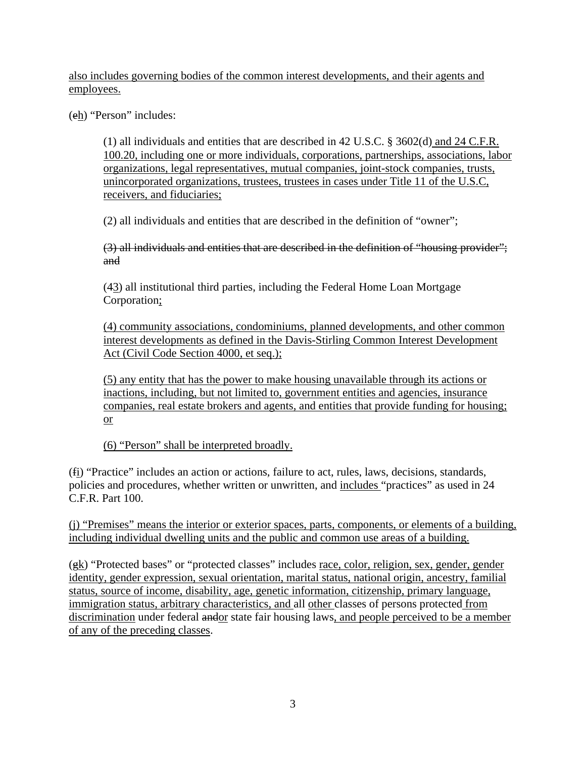also includes governing bodies of the common interest developments, and their agents and employees.

(eh) "Person" includes:

(1) all individuals and entities that are described in 42 U.S.C. § 3602(d) and 24 C.F.R. 100.20, including one or more individuals, corporations, partnerships, associations, labor organizations, legal representatives, mutual companies, joint-stock companies, trusts, unincorporated organizations, trustees, trustees in cases under Title 11 of the U.S.C, receivers, and fiduciaries;

(2) all individuals and entities that are described in the definition of "owner";

(3) all individuals and entities that are described in the definition of "housing provider"; and

(43) all institutional third parties, including the Federal Home Loan Mortgage Corporation;

(4) community associations, condominiums, planned developments, and other common interest developments as defined in the Davis-Stirling Common Interest Development Act (Civil Code Section 4000, et seq.);

(5) any entity that has the power to make housing unavailable through its actions or inactions, including, but not limited to, government entities and agencies, insurance companies, real estate brokers and agents, and entities that provide funding for housing; or

(6) "Person" shall be interpreted broadly.

(fi) "Practice" includes an action or actions, failure to act, rules, laws, decisions, standards, policies and procedures, whether written or unwritten, and includes "practices" as used in 24 C.F.R. Part 100.

(j) "Premises" means the interior or exterior spaces, parts, components, or elements of a building, including individual dwelling units and the public and common use areas of a building.

(gk) "Protected bases" or "protected classes" includes race, color, religion, sex, gender, gender identity, gender expression, sexual orientation, marital status, national origin, ancestry, familial status, source of income, disability, age, genetic information, citizenship, primary language, immigration status, arbitrary characteristics, and all other classes of persons protected from discrimination under federal andor state fair housing laws, and people perceived to be a member of any of the preceding classes.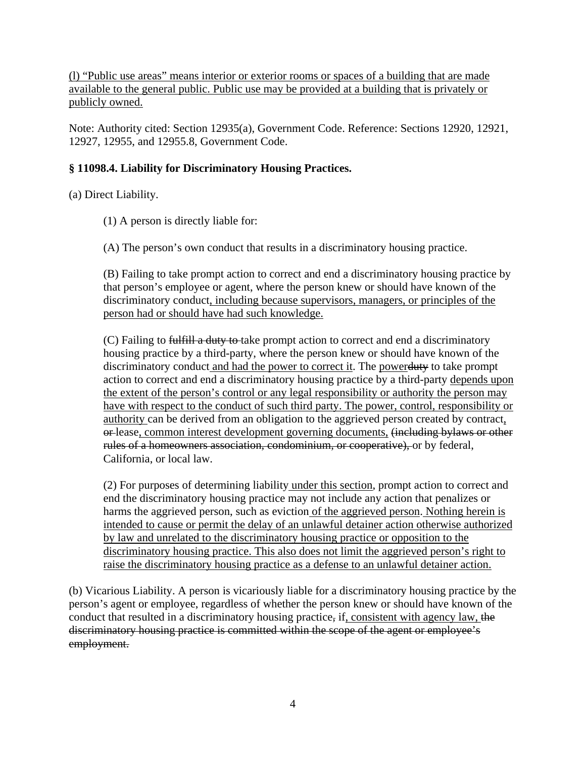(l) "Public use areas" means interior or exterior rooms or spaces of a building that are made available to the general public. Public use may be provided at a building that is privately or publicly owned.

Note: Authority cited: Section 12935(a), Government Code. Reference: Sections 12920, 12921, 12927, 12955, and 12955.8, Government Code.

# **§ 11098.4. Liability for Discriminatory Housing Practices.**

(a) Direct Liability.

- (1) A person is directly liable for:
- (A) The person's own conduct that results in a discriminatory housing practice.

(B) Failing to take prompt action to correct and end a discriminatory housing practice by that person's employee or agent, where the person knew or should have known of the discriminatory conduct, including because supervisors, managers, or principles of the person had or should have had such knowledge.

(C) Failing to fulfill a duty to take prompt action to correct and end a discriminatory housing practice by a third-party, where the person knew or should have known of the discriminatory conduct and had the power to correct it. The powerduty to take prompt action to correct and end a discriminatory housing practice by a third-party depends upon the extent of the person's control or any legal responsibility or authority the person may have with respect to the conduct of such third party. The power, control, responsibility or authority can be derived from an obligation to the aggrieved person created by contract, or lease, common interest development governing documents, <del>(including bylaws or other</del> rules of a homeowners association, condominium, or cooperative), or by federal, California, or local law.

(2) For purposes of determining liability under this section, prompt action to correct and end the discriminatory housing practice may not include any action that penalizes or harms the aggrieved person, such as eviction of the aggrieved person. Nothing herein is intended to cause or permit the delay of an unlawful detainer action otherwise authorized by law and unrelated to the discriminatory housing practice or opposition to the discriminatory housing practice. This also does not limit the aggrieved person's right to raise the discriminatory housing practice as a defense to an unlawful detainer action.

(b) Vicarious Liability. A person is vicariously liable for a discriminatory housing practice by the person's agent or employee, regardless of whether the person knew or should have known of the conduct that resulted in a discriminatory housing practice, if, consistent with agency law, the discriminatory housing practice is committed within the scope of the agent or employee's employment.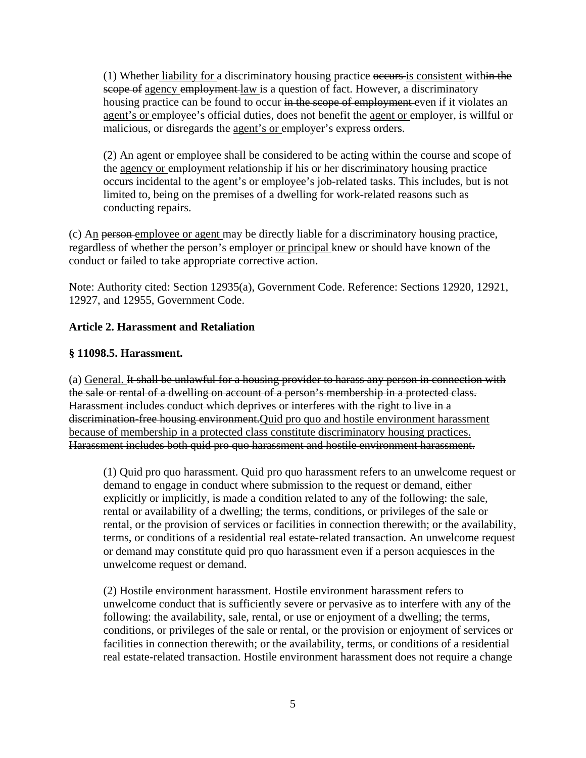(1) Whether liability for a discriminatory housing practice occurs is consistent within the scope of agency employment law is a question of fact. However, a discriminatory housing practice can be found to occur in the scope of employment even if it violates an agent's or employee's official duties, does not benefit the agent or employer, is willful or malicious, or disregards the agent's or employer's express orders.

(2) An agent or employee shall be considered to be acting within the course and scope of the agency or employment relationship if his or her discriminatory housing practice occurs incidental to the agent's or employee's job-related tasks. This includes, but is not limited to, being on the premises of a dwelling for work-related reasons such as conducting repairs.

(c)  $A_{\text{II}}$  person-employee or agent may be directly liable for a discriminatory housing practice, regardless of whether the person's employer or principal knew or should have known of the conduct or failed to take appropriate corrective action.

Note: Authority cited: Section 12935(a), Government Code. Reference: Sections 12920, 12921, 12927, and 12955, Government Code.

# **Article 2. Harassment and Retaliation**

#### **§ 11098.5. Harassment.**

(a) General. It shall be unlawful for a housing provider to harass any person in connection with the sale or rental of a dwelling on account of a person's membership in a protected class. Harassment includes conduct which deprives or interferes with the right to live in a discrimination-free housing environment. Quid pro quo and hostile environment harassment because of membership in a protected class constitute discriminatory housing practices. Harassment includes both quid pro quo harassment and hostile environment harassment.

(1) Quid pro quo harassment. Quid pro quo harassment refers to an unwelcome request or demand to engage in conduct where submission to the request or demand, either explicitly or implicitly, is made a condition related to any of the following: the sale, rental or availability of a dwelling; the terms, conditions, or privileges of the sale or rental, or the provision of services or facilities in connection therewith; or the availability, terms, or conditions of a residential real estate-related transaction. An unwelcome request or demand may constitute quid pro quo harassment even if a person acquiesces in the unwelcome request or demand.

(2) Hostile environment harassment. Hostile environment harassment refers to unwelcome conduct that is sufficiently severe or pervasive as to interfere with any of the following: the availability, sale, rental, or use or enjoyment of a dwelling; the terms, conditions, or privileges of the sale or rental, or the provision or enjoyment of services or facilities in connection therewith; or the availability, terms, or conditions of a residential real estate-related transaction. Hostile environment harassment does not require a change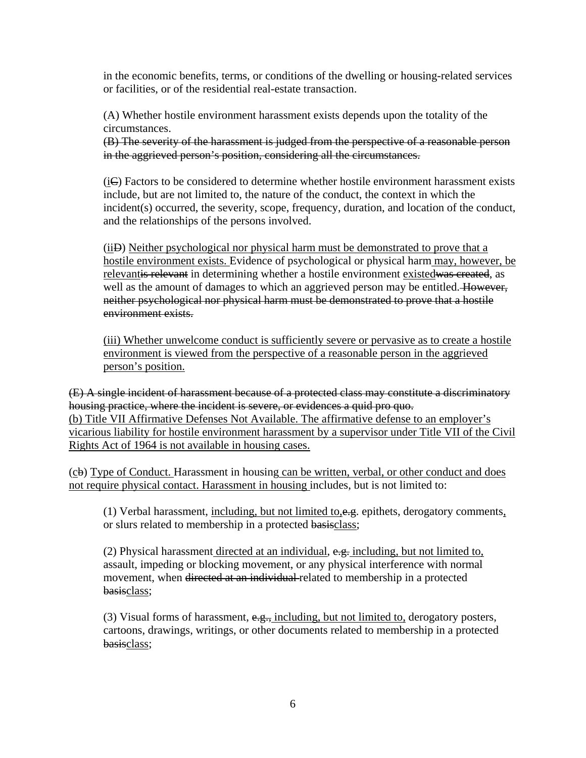in the economic benefits, terms, or conditions of the dwelling or housing-related services or facilities, or of the residential real-estate transaction.

(A) Whether hostile environment harassment exists depends upon the totality of the circumstances.

(B) The severity of the harassment is judged from the perspective of a reasonable person in the aggrieved person's position, considering all the circumstances.

(iC) Factors to be considered to determine whether hostile environment harassment exists include, but are not limited to, the nature of the conduct, the context in which the incident(s) occurred, the severity, scope, frequency, duration, and location of the conduct, and the relationships of the persons involved.

(iiD) Neither psychological nor physical harm must be demonstrated to prove that a hostile environment exists. Evidence of psychological or physical harm may, however, be relevantis relevant in determining whether a hostile environment existedwas created, as well as the amount of damages to which an aggrieved person may be entitled. However, neither psychological nor physical harm must be demonstrated to prove that a hostile environment exists.

(iii) Whether unwelcome conduct is sufficiently severe or pervasive as to create a hostile environment is viewed from the perspective of a reasonable person in the aggrieved person's position.

(E) A single incident of harassment because of a protected class may constitute a discriminatory housing practice, where the incident is severe, or evidences a quid pro quo. (b) Title VII Affirmative Defenses Not Available. The affirmative defense to an employer's vicarious liability for hostile environment harassment by a supervisor under Title VII of the Civil Rights Act of 1964 is not available in housing cases.

(cb) Type of Conduct. Harassment in housing can be written, verbal, or other conduct and does not require physical contact. Harassment in housing includes, but is not limited to:

(1) Verbal harassment, including, but not limited to, $e.g.$  epithets, derogatory comments, or slurs related to membership in a protected basisclass;

(2) Physical harassment directed at an individual,  $e.g.,$  including, but not limited to, assault, impeding or blocking movement, or any physical interference with normal movement, when directed at an individual related to membership in a protected basisclass;

(3) Visual forms of harassment,  $e.g.,$  including, but not limited to, derogatory posters, cartoons, drawings, writings, or other documents related to membership in a protected basisclass: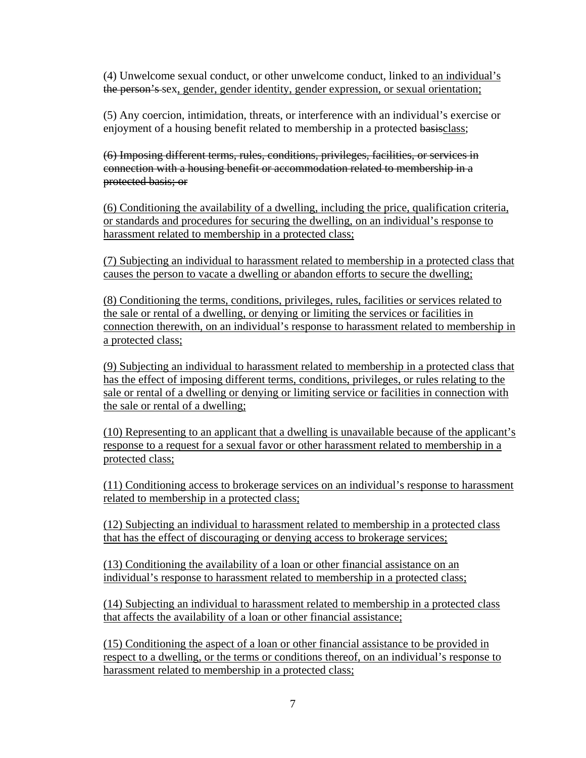(4) Unwelcome sexual conduct, or other unwelcome conduct, linked to an individual's the person's sex, gender, gender identity, gender expression, or sexual orientation;

(5) Any coercion, intimidation, threats, or interference with an individual's exercise or enjoyment of a housing benefit related to membership in a protected basisclass;

(6) Imposing different terms, rules, conditions, privileges, facilities, or services in connection with a housing benefit or accommodation related to membership in a protected basis; or

(6) Conditioning the availability of a dwelling, including the price, qualification criteria, or standards and procedures for securing the dwelling, on an individual's response to harassment related to membership in a protected class;

(7) Subjecting an individual to harassment related to membership in a protected class that causes the person to vacate a dwelling or abandon efforts to secure the dwelling;

(8) Conditioning the terms, conditions, privileges, rules, facilities or services related to the sale or rental of a dwelling, or denying or limiting the services or facilities in connection therewith, on an individual's response to harassment related to membership in a protected class;

(9) Subjecting an individual to harassment related to membership in a protected class that has the effect of imposing different terms, conditions, privileges, or rules relating to the sale or rental of a dwelling or denying or limiting service or facilities in connection with the sale or rental of a dwelling;

(10) Representing to an applicant that a dwelling is unavailable because of the applicant's response to a request for a sexual favor or other harassment related to membership in a protected class;

(11) Conditioning access to brokerage services on an individual's response to harassment related to membership in a protected class;

(12) Subjecting an individual to harassment related to membership in a protected class that has the effect of discouraging or denying access to brokerage services;

(13) Conditioning the availability of a loan or other financial assistance on an individual's response to harassment related to membership in a protected class;

(14) Subjecting an individual to harassment related to membership in a protected class that affects the availability of a loan or other financial assistance;

(15) Conditioning the aspect of a loan or other financial assistance to be provided in respect to a dwelling, or the terms or conditions thereof, on an individual's response to harassment related to membership in a protected class;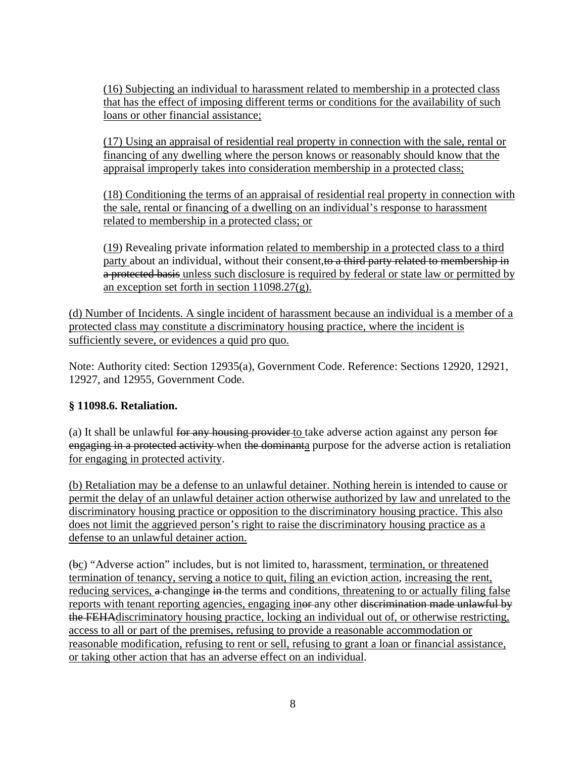(16) Subjecting an individual to harassment related to membership in a protected class that has the effect of imposing different terms or conditions for the availability of such loans or other financial assistance;

(17) Using an appraisal of residential real property in connection with the sale, rental or financing of any dwelling where the person knows or reasonably should know that the appraisal improperly takes into consideration membership in a protected class;

(18) Conditioning the terms of an appraisal of residential real property in connection with the sale, rental or financing of a dwelling on an individual's response to harassment related to membership in a protected class; or

(19) Revealing private information related to membership in a protected class to a third party about an individual, without their consent, to a third party related to membership in a protected basis unless such disclosure is required by federal or state law or permitted by an exception set forth in section 11098.27(g).

(d) Number of Incidents. A single incident of harassment because an individual is a member of a protected class may constitute a discriminatory housing practice, where the incident is sufficiently severe, or evidences a quid pro quo.

Note: Authority cited: Section 12935(a), Government Code. Reference: Sections 12920, 12921, 12927, and 12955, Government Code.

# **§ 11098.6. Retaliation.**

(a) It shall be unlawful for any housing provider to take adverse action against any person for engaging in a protected activity when the dominanta purpose for the adverse action is retaliation for engaging in protected activity.

(b) Retaliation may be a defense to an unlawful detainer. Nothing herein is intended to cause or permit the delay of an unlawful detainer action otherwise authorized by law and unrelated to the discriminatory housing practice or opposition to the discriminatory housing practice. This also does not limit the aggrieved person's right to raise the discriminatory housing practice as a defense to an unlawful detainer action.

(bc) "Adverse action" includes, but is not limited to, harassment, termination, or threatened termination of tenancy, serving a notice to quit, filing an eviction action, increasing the rent, reducing services, a changinge in the terms and conditions, threatening to or actually filing false reports with tenant reporting agencies, engaging inor any other discrimination made unlawful by the FEHAdiscriminatory housing practice, locking an individual out of, or otherwise restricting, access to all or part of the premises, refusing to provide a reasonable accommodation or reasonable modification, refusing to rent or sell, refusing to grant a loan or financial assistance, or taking other action that has an adverse effect on an individual.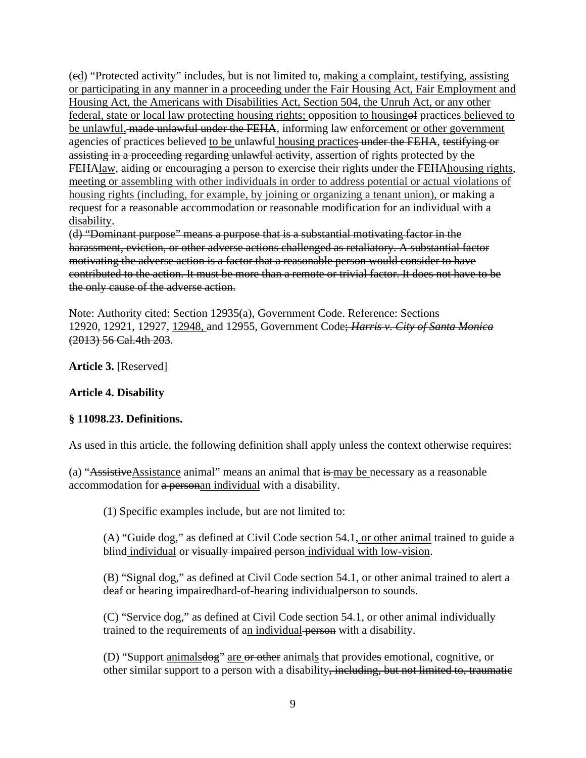(cd) "Protected activity" includes, but is not limited to, making a complaint, testifying, assisting or participating in any manner in a proceeding under the Fair Housing Act, Fair Employment and Housing Act, the Americans with Disabilities Act, Section 504, the Unruh Act, or any other federal, state or local law protecting housing rights; opposition to housingof practices believed to be unlawful, made unlawful under the FEHA, informing law enforcement or other government agencies of practices believed to be unlawful housing practices under the FEHA, testifying or assisting in a proceeding regarding unlawful activity, assertion of rights protected by the FEHAlaw, aiding or encouraging a person to exercise their rights under the FEHA housing rights, meeting or assembling with other individuals in order to address potential or actual violations of housing rights (including, for example, by joining or organizing a tenant union), or making a request for a reasonable accommodation or reasonable modification for an individual with a disability.

(d) "Dominant purpose" means a purpose that is a substantial motivating factor in the harassment, eviction, or other adverse actions challenged as retaliatory. A substantial factor motivating the adverse action is a factor that a reasonable person would consider to have contributed to the action. It must be more than a remote or trivial factor. It does not have to be the only cause of the adverse action.

Note: Authority cited: Section 12935(a), Government Code. Reference: Sections 12920, 12921, 12927, 12948, and 12955, Government Code; *Harris v. City of Santa Monica*  (2013) 56 Cal.4th 203.

**Article 3.** [Reserved]

# **Article 4. Disability**

#### **§ 11098.23. Definitions.**

As used in this article, the following definition shall apply unless the context otherwise requires:

(a) "AssistiveAssistance animal" means an animal that is may be necessary as a reasonable accommodation for a personan individual with a disability.

(1) Specific examples include, but are not limited to:

(A) "Guide dog," as defined at Civil Code section 54.1, or other animal trained to guide a blind individual or visually impaired person individual with low-vision.

(B) "Signal dog," as defined at Civil Code section 54.1, or other animal trained to alert a deaf or hearing impaired hard-of-hearing individual person to sounds.

(C) "Service dog," as defined at Civil Code section 54.1, or other animal individually trained to the requirements of an individual person with a disability.

(D) "Support animalsdog" are or other animals that provides emotional, cognitive, or other similar support to a person with a disability, including, but not limited to, traumatic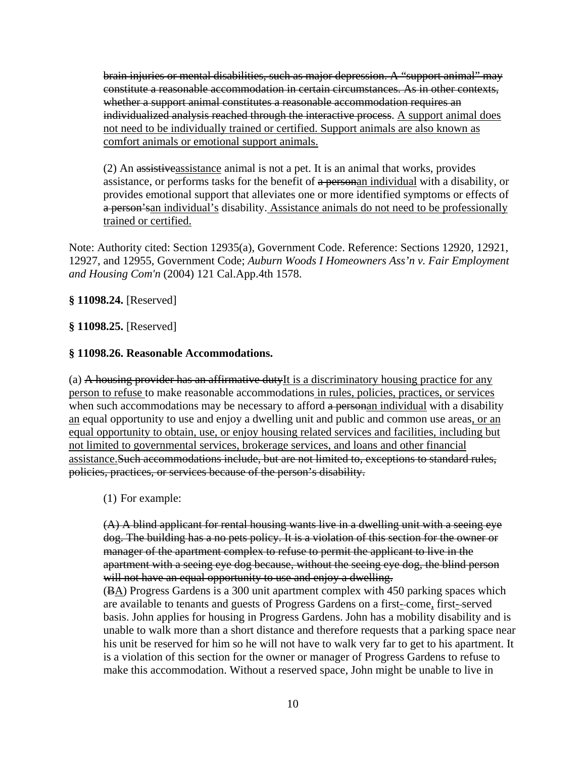brain injuries or mental disabilities, such as major depression. A "support animal" may constitute a reasonable accommodation in certain circumstances. As in other contexts, whether a support animal constitutes a reasonable accommodation requires an individualized analysis reached through the interactive process. A support animal does not need to be individually trained or certified. Support animals are also known as comfort animals or emotional support animals.

(2) An assistiveassistance animal is not a pet. It is an animal that works, provides assistance, or performs tasks for the benefit of a personan individual with a disability, or provides emotional support that alleviates one or more identified symptoms or effects of a person's and individual's disability. Assistance animals do not need to be professionally trained or certified.

Note: Authority cited: Section 12935(a), Government Code. Reference: Sections 12920, 12921, 12927, and 12955, Government Code; *Auburn Woods I Homeowners Ass'n v. Fair Employment and Housing Com'n* (2004) 121 Cal.App.4th 1578.

#### **§ 11098.24.** [Reserved]

#### **§ 11098.25.** [Reserved]

#### **§ 11098.26. Reasonable Accommodations.**

(a) A housing provider has an affirmative dutyIt is a discriminatory housing practice for any person to refuse to make reasonable accommodations in rules, policies, practices, or services when such accommodations may be necessary to afford a personan individual with a disability an equal opportunity to use and enjoy a dwelling unit and public and common use areas, or an equal opportunity to obtain, use, or enjoy housing related services and facilities, including but not limited to governmental services, brokerage services, and loans and other financial assistance.Such accommodations include, but are not limited to, exceptions to standard rules, policies, practices, or services because of the person's disability.

(1) For example:

(A) A blind applicant for rental housing wants live in a dwelling unit with a seeing eye dog. The building has a no pets policy. It is a violation of this section for the owner or manager of the apartment complex to refuse to permit the applicant to live in the apartment with a seeing eye dog because, without the seeing eye dog, the blind person will not have an equal opportunity to use and enjoy a dwelling.

(BA) Progress Gardens is a 300 unit apartment complex with 450 parking spaces which are available to tenants and guests of Progress Gardens on a first- come, first- served basis. John applies for housing in Progress Gardens. John has a mobility disability and is unable to walk more than a short distance and therefore requests that a parking space near his unit be reserved for him so he will not have to walk very far to get to his apartment. It is a violation of this section for the owner or manager of Progress Gardens to refuse to make this accommodation. Without a reserved space, John might be unable to live in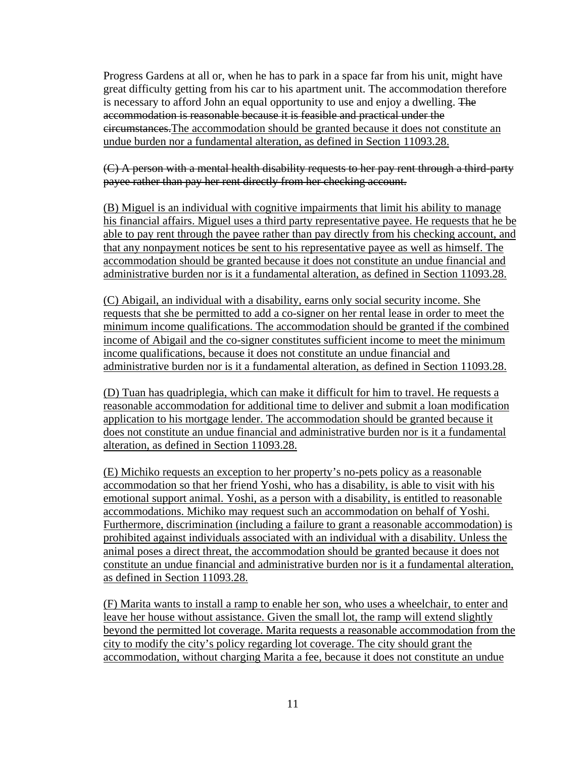Progress Gardens at all or, when he has to park in a space far from his unit, might have great difficulty getting from his car to his apartment unit. The accommodation therefore is necessary to afford John an equal opportunity to use and enjoy a dwelling. The accommodation is reasonable because it is feasible and practical under the circumstances.The accommodation should be granted because it does not constitute an undue burden nor a fundamental alteration, as defined in Section 11093.28.

(C) A person with a mental health disability requests to her pay rent through a third-party payee rather than pay her rent directly from her checking account.

(B) Miguel is an individual with cognitive impairments that limit his ability to manage his financial affairs. Miguel uses a third party representative payee. He requests that he be able to pay rent through the payee rather than pay directly from his checking account, and that any nonpayment notices be sent to his representative payee as well as himself. The accommodation should be granted because it does not constitute an undue financial and administrative burden nor is it a fundamental alteration, as defined in Section 11093.28.

(C) Abigail, an individual with a disability, earns only social security income. She requests that she be permitted to add a co-signer on her rental lease in order to meet the minimum income qualifications. The accommodation should be granted if the combined income of Abigail and the co-signer constitutes sufficient income to meet the minimum income qualifications, because it does not constitute an undue financial and administrative burden nor is it a fundamental alteration, as defined in Section 11093.28.

(D) Tuan has quadriplegia, which can make it difficult for him to travel. He requests a reasonable accommodation for additional time to deliver and submit a loan modification application to his mortgage lender. The accommodation should be granted because it does not constitute an undue financial and administrative burden nor is it a fundamental alteration, as defined in Section 11093.28.

(E) Michiko requests an exception to her property's no-pets policy as a reasonable accommodation so that her friend Yoshi, who has a disability, is able to visit with his emotional support animal. Yoshi, as a person with a disability, is entitled to reasonable accommodations. Michiko may request such an accommodation on behalf of Yoshi. Furthermore, discrimination (including a failure to grant a reasonable accommodation) is prohibited against individuals associated with an individual with a disability. Unless the animal poses a direct threat, the accommodation should be granted because it does not constitute an undue financial and administrative burden nor is it a fundamental alteration, as defined in Section 11093.28.

(F) Marita wants to install a ramp to enable her son, who uses a wheelchair, to enter and leave her house without assistance. Given the small lot, the ramp will extend slightly beyond the permitted lot coverage. Marita requests a reasonable accommodation from the city to modify the city's policy regarding lot coverage. The city should grant the accommodation, without charging Marita a fee, because it does not constitute an undue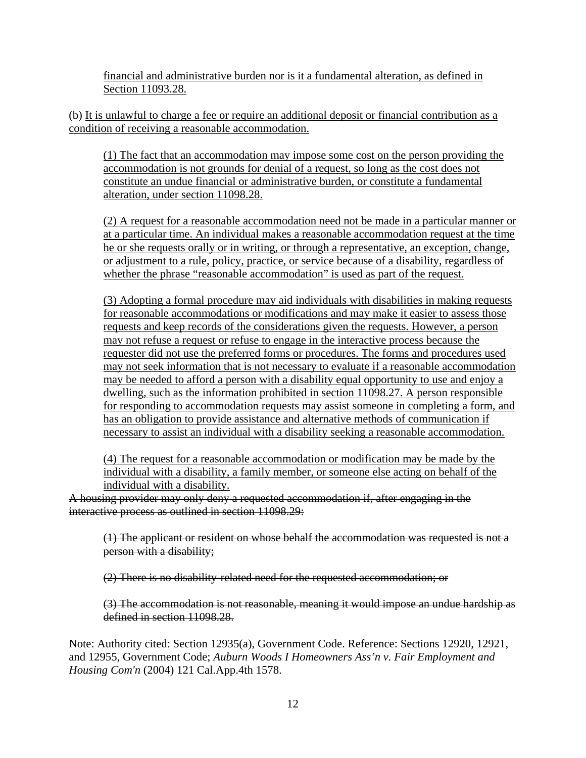financial and administrative burden nor is it a fundamental alteration, as defined in Section 11093.28.

(b) It is unlawful to charge a fee or require an additional deposit or financial contribution as a condition of receiving a reasonable accommodation.

(1) The fact that an accommodation may impose some cost on the person providing the accommodation is not grounds for denial of a request, so long as the cost does not constitute an undue financial or administrative burden, or constitute a fundamental alteration, under section 11098.28.

(2) A request for a reasonable accommodation need not be made in a particular manner or at a particular time. An individual makes a reasonable accommodation request at the time he or she requests orally or in writing, or through a representative, an exception, change, or adjustment to a rule, policy, practice, or service because of a disability, regardless of whether the phrase "reasonable accommodation" is used as part of the request.

(3) Adopting a formal procedure may aid individuals with disabilities in making requests for reasonable accommodations or modifications and may make it easier to assess those requests and keep records of the considerations given the requests. However, a person may not refuse a request or refuse to engage in the interactive process because the requester did not use the preferred forms or procedures. The forms and procedures used may not seek information that is not necessary to evaluate if a reasonable accommodation may be needed to afford a person with a disability equal opportunity to use and enjoy a dwelling, such as the information prohibited in section 11098.27. A person responsible for responding to accommodation requests may assist someone in completing a form, and has an obligation to provide assistance and alternative methods of communication if necessary to assist an individual with a disability seeking a reasonable accommodation.

(4) The request for a reasonable accommodation or modification may be made by the individual with a disability, a family member, or someone else acting on behalf of the individual with a disability.

A housing provider may only deny a requested accommodation if, after engaging in the interactive process as outlined in section 11098.29:

(1) The applicant or resident on whose behalf the accommodation was requested is not a person with a disability;

(2) There is no disability-related need for the requested accommodation; or

(3) The accommodation is not reasonable, meaning it would impose an undue hardship as defined in section 11098.28.

Note: Authority cited: Section 12935(a), Government Code. Reference: Sections 12920, 12921, and 12955, Government Code; *Auburn Woods I Homeowners Ass'n v. Fair Employment and Housing Com'n* (2004) 121 Cal.App.4th 1578.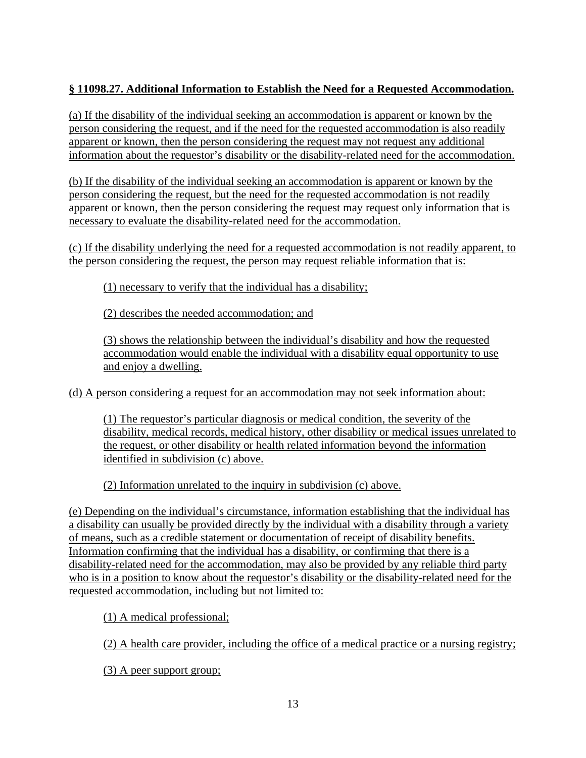# **§ 11098.27. Additional Information to Establish the Need for a Requested Accommodation.**

(a) If the disability of the individual seeking an accommodation is apparent or known by the person considering the request, and if the need for the requested accommodation is also readily apparent or known, then the person considering the request may not request any additional information about the requestor's disability or the disability-related need for the accommodation.

(b) If the disability of the individual seeking an accommodation is apparent or known by the person considering the request, but the need for the requested accommodation is not readily apparent or known, then the person considering the request may request only information that is necessary to evaluate the disability-related need for the accommodation.

(c) If the disability underlying the need for a requested accommodation is not readily apparent, to the person considering the request, the person may request reliable information that is:

(1) necessary to verify that the individual has a disability;

(2) describes the needed accommodation; and

(3) shows the relationship between the individual's disability and how the requested accommodation would enable the individual with a disability equal opportunity to use and enjoy a dwelling.

(d) A person considering a request for an accommodation may not seek information about:

(1) The requestor's particular diagnosis or medical condition, the severity of the disability, medical records, medical history, other disability or medical issues unrelated to the request, or other disability or health related information beyond the information identified in subdivision (c) above.

(2) Information unrelated to the inquiry in subdivision (c) above.

(e) Depending on the individual's circumstance, information establishing that the individual has a disability can usually be provided directly by the individual with a disability through a variety of means, such as a credible statement or documentation of receipt of disability benefits. Information confirming that the individual has a disability, or confirming that there is a disability-related need for the accommodation, may also be provided by any reliable third party who is in a position to know about the requestor's disability or the disability-related need for the requested accommodation, including but not limited to:

(1) A medical professional;

(2) A health care provider, including the office of a medical practice or a nursing registry;

(3) A peer support group;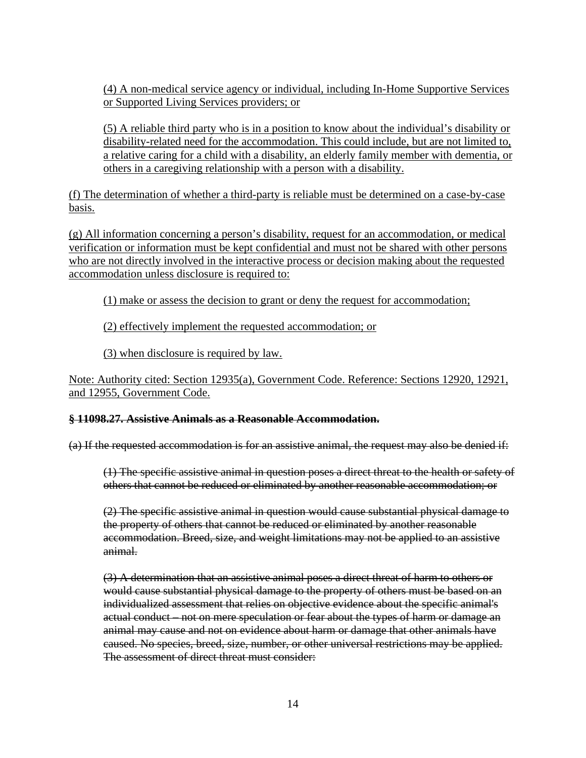(4) A non-medical service agency or individual, including In-Home Supportive Services or Supported Living Services providers; or

(5) A reliable third party who is in a position to know about the individual's disability or disability-related need for the accommodation. This could include, but are not limited to, a relative caring for a child with a disability, an elderly family member with dementia, or others in a caregiving relationship with a person with a disability.

(f) The determination of whether a third-party is reliable must be determined on a case-by-case basis.

(g) All information concerning a person's disability, request for an accommodation, or medical verification or information must be kept confidential and must not be shared with other persons who are not directly involved in the interactive process or decision making about the requested accommodation unless disclosure is required to:

(1) make or assess the decision to grant or deny the request for accommodation;

(2) effectively implement the requested accommodation; or

(3) when disclosure is required by law.

Note: Authority cited: Section 12935(a), Government Code. Reference: Sections 12920, 12921, and 12955, Government Code.

# **§ 11098.27. Assistive Animals as a Reasonable Accommodation.**

(a) If the requested accommodation is for an assistive animal, the request may also be denied if:

(1) The specific assistive animal in question poses a direct threat to the health or safety of others that cannot be reduced or eliminated by another reasonable accommodation; or

(2) The specific assistive animal in question would cause substantial physical damage to the property of others that cannot be reduced or eliminated by another reasonable accommodation. Breed, size, and weight limitations may not be applied to an assistive animal.

(3) A determination that an assistive animal poses a direct threat of harm to others or would cause substantial physical damage to the property of others must be based on an individualized assessment that relies on objective evidence about the specific animal's actual conduct – not on mere speculation or fear about the types of harm or damage an animal may cause and not on evidence about harm or damage that other animals have caused. No species, breed, size, number, or other universal restrictions may be applied. The assessment of direct threat must consider: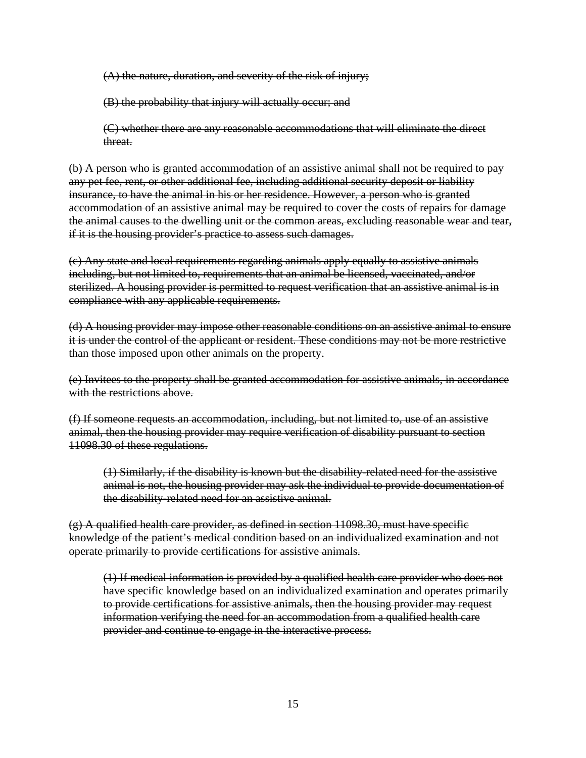(A) the nature, duration, and severity of the risk of injury;

(B) the probability that injury will actually occur; and

(C) whether there are any reasonable accommodations that will eliminate the direct threat.

(b) A person who is granted accommodation of an assistive animal shall not be required to pay any pet fee, rent, or other additional fee, including additional security deposit or liability insurance, to have the animal in his or her residence. However, a person who is granted accommodation of an assistive animal may be required to cover the costs of repairs for damage the animal causes to the dwelling unit or the common areas, excluding reasonable wear and tear, if it is the housing provider's practice to assess such damages.

(c) Any state and local requirements regarding animals apply equally to assistive animals including, but not limited to, requirements that an animal be licensed, vaccinated, and/or sterilized. A housing provider is permitted to request verification that an assistive animal is in compliance with any applicable requirements.

(d) A housing provider may impose other reasonable conditions on an assistive animal to ensure it is under the control of the applicant or resident. These conditions may not be more restrictive than those imposed upon other animals on the property.

(e) Invitees to the property shall be granted accommodation for assistive animals, in accordance with the restrictions above.

(f) If someone requests an accommodation, including, but not limited to, use of an assistive animal, then the housing provider may require verification of disability pursuant to section 11098.30 of these regulations.

(1) Similarly, if the disability is known but the disability-related need for the assistive animal is not, the housing provider may ask the individual to provide documentation of the disability-related need for an assistive animal.

 $(g)$  A qualified health care provider, as defined in section 11098.30, must have specific knowledge of the patient's medical condition based on an individualized examination and not operate primarily to provide certifications for assistive animals.

(1) If medical information is provided by a qualified health care provider who does not have specific knowledge based on an individualized examination and operates primarily to provide certifications for assistive animals, then the housing provider may request information verifying the need for an accommodation from a qualified health care provider and continue to engage in the interactive process.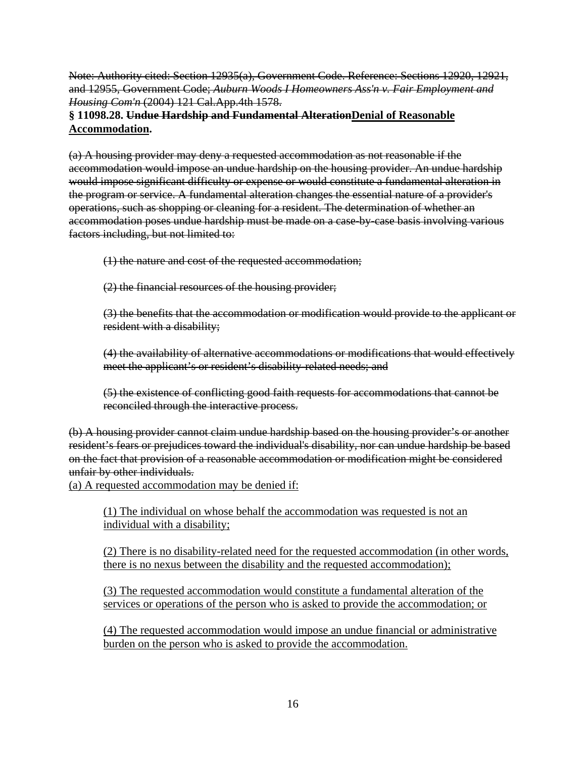Note: Authority cited: Section 12935(a), Government Code. Reference: Sections 12920, 12921, and 12955, Government Code; *Auburn Woods I Homeowners Ass'n v. Fair Employment and Housing Com'n* (2004) 121 Cal.App.4th 1578.

# **§ 11098.28. Undue Hardship and Fundamental AlterationDenial of Reasonable Accommodation.**

(a) A housing provider may deny a requested accommodation as not reasonable if the accommodation would impose an undue hardship on the housing provider. An undue hardship would impose significant difficulty or expense or would constitute a fundamental alteration in the program or service. A fundamental alteration changes the essential nature of a provider's operations, such as shopping or cleaning for a resident. The determination of whether an accommodation poses undue hardship must be made on a case-by-case basis involving various factors including, but not limited to:

(1) the nature and cost of the requested accommodation;

(2) the financial resources of the housing provider;

(3) the benefits that the accommodation or modification would provide to the applicant or resident with a disability;

(4) the availability of alternative accommodations or modifications that would effectively meet the applicant's or resident's disability-related needs; and

(5) the existence of conflicting good faith requests for accommodations that cannot be reconciled through the interactive process.

(b) A housing provider cannot claim undue hardship based on the housing provider's or another resident's fears or prejudices toward the individual's disability, nor can undue hardship be based on the fact that provision of a reasonable accommodation or modification might be considered unfair by other individuals.

(a) A requested accommodation may be denied if:

(1) The individual on whose behalf the accommodation was requested is not an individual with a disability;

(2) There is no disability-related need for the requested accommodation (in other words, there is no nexus between the disability and the requested accommodation);

(3) The requested accommodation would constitute a fundamental alteration of the services or operations of the person who is asked to provide the accommodation; or

(4) The requested accommodation would impose an undue financial or administrative burden on the person who is asked to provide the accommodation.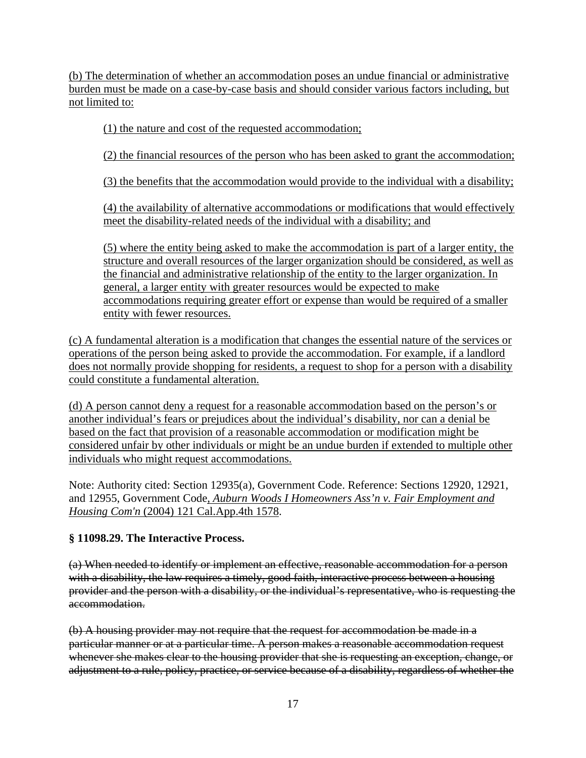(b) The determination of whether an accommodation poses an undue financial or administrative burden must be made on a case-by-case basis and should consider various factors including, but not limited to:

(1) the nature and cost of the requested accommodation;

(2) the financial resources of the person who has been asked to grant the accommodation;

(3) the benefits that the accommodation would provide to the individual with a disability;

(4) the availability of alternative accommodations or modifications that would effectively meet the disability-related needs of the individual with a disability; and

(5) where the entity being asked to make the accommodation is part of a larger entity, the structure and overall resources of the larger organization should be considered, as well as the financial and administrative relationship of the entity to the larger organization. In general, a larger entity with greater resources would be expected to make accommodations requiring greater effort or expense than would be required of a smaller entity with fewer resources.

(c) A fundamental alteration is a modification that changes the essential nature of the services or operations of the person being asked to provide the accommodation. For example, if a landlord does not normally provide shopping for residents, a request to shop for a person with a disability could constitute a fundamental alteration.

(d) A person cannot deny a request for a reasonable accommodation based on the person's or another individual's fears or prejudices about the individual's disability, nor can a denial be based on the fact that provision of a reasonable accommodation or modification might be considered unfair by other individuals or might be an undue burden if extended to multiple other individuals who might request accommodations.

Note: Authority cited: Section 12935(a), Government Code. Reference: Sections 12920, 12921, and 12955, Government Code, *Auburn Woods I Homeowners Ass'n v. Fair Employment and Housing Com'n* (2004) 121 Cal.App.4th 1578.

# **§ 11098.29. The Interactive Process.**

(a) When needed to identify or implement an effective, reasonable accommodation for a person with a disability, the law requires a timely, good faith, interactive process between a housing provider and the person with a disability, or the individual's representative, who is requesting the accommodation.

(b) A housing provider may not require that the request for accommodation be made in a particular manner or at a particular time. A person makes a reasonable accommodation request whenever she makes clear to the housing provider that she is requesting an exception, change, or adjustment to a rule, policy, practice, or service because of a disability, regardless of whether the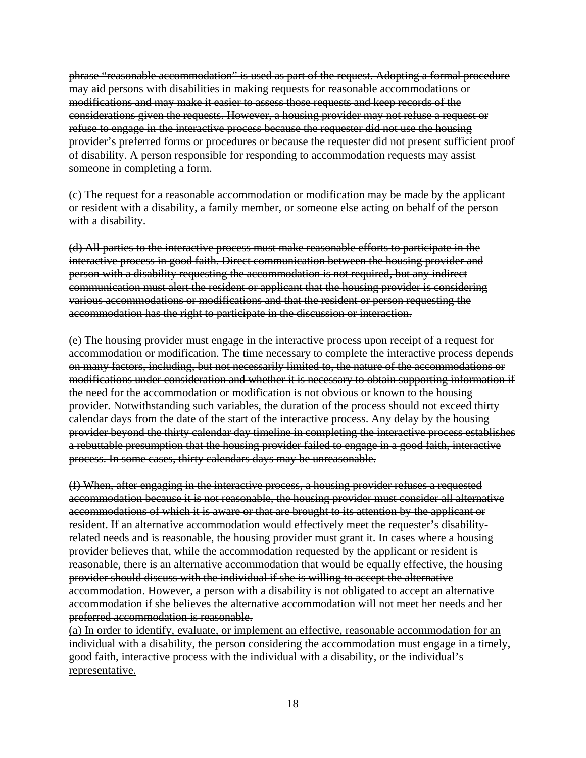phrase "reasonable accommodation" is used as part of the request. Adopting a formal procedure may aid persons with disabilities in making requests for reasonable accommodations or modifications and may make it easier to assess those requests and keep records of the considerations given the requests. However, a housing provider may not refuse a request or refuse to engage in the interactive process because the requester did not use the housing provider's preferred forms or procedures or because the requester did not present sufficient proof of disability. A person responsible for responding to accommodation requests may assist someone in completing a form.

(c) The request for a reasonable accommodation or modification may be made by the applicant or resident with a disability, a family member, or someone else acting on behalf of the person with a disability.

(d) All parties to the interactive process must make reasonable efforts to participate in the interactive process in good faith. Direct communication between the housing provider and person with a disability requesting the accommodation is not required, but any indirect communication must alert the resident or applicant that the housing provider is considering various accommodations or modifications and that the resident or person requesting the accommodation has the right to participate in the discussion or interaction.

(e) The housing provider must engage in the interactive process upon receipt of a request for accommodation or modification. The time necessary to complete the interactive process depends on many factors, including, but not necessarily limited to, the nature of the accommodations or modifications under consideration and whether it is necessary to obtain supporting information if the need for the accommodation or modification is not obvious or known to the housing provider. Notwithstanding such variables, the duration of the process should not exceed thirty calendar days from the date of the start of the interactive process. Any delay by the housing provider beyond the thirty calendar day timeline in completing the interactive process establishes a rebuttable presumption that the housing provider failed to engage in a good faith, interactive process. In some cases, thirty calendars days may be unreasonable.

(f) When, after engaging in the interactive process, a housing provider refuses a requested accommodation because it is not reasonable, the housing provider must consider all alternative accommodations of which it is aware or that are brought to its attention by the applicant or resident. If an alternative accommodation would effectively meet the requester's disabilityrelated needs and is reasonable, the housing provider must grant it. In cases where a housing provider believes that, while the accommodation requested by the applicant or resident is reasonable, there is an alternative accommodation that would be equally effective, the housing provider should discuss with the individual if she is willing to accept the alternative accommodation. However, a person with a disability is not obligated to accept an alternative accommodation if she believes the alternative accommodation will not meet her needs and her preferred accommodation is reasonable.

(a) In order to identify, evaluate, or implement an effective, reasonable accommodation for an individual with a disability, the person considering the accommodation must engage in a timely, good faith, interactive process with the individual with a disability, or the individual's representative.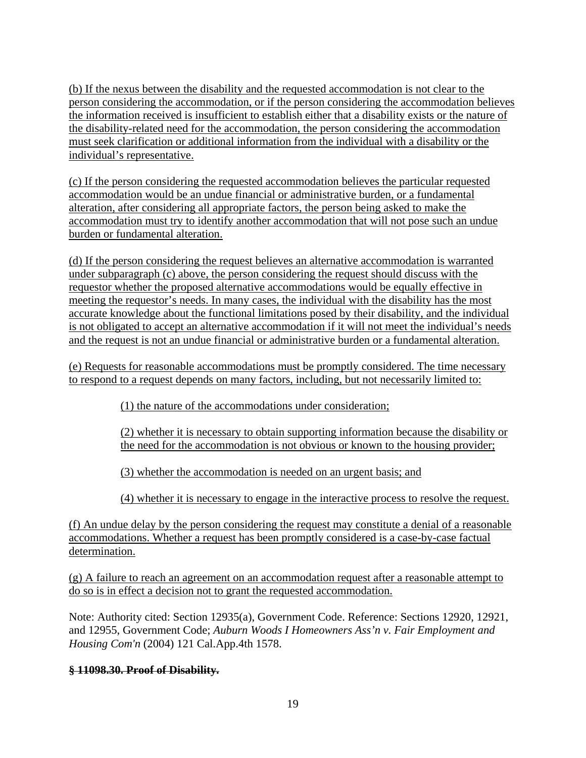(b) If the nexus between the disability and the requested accommodation is not clear to the person considering the accommodation, or if the person considering the accommodation believes the information received is insufficient to establish either that a disability exists or the nature of the disability-related need for the accommodation, the person considering the accommodation must seek clarification or additional information from the individual with a disability or the individual's representative.

(c) If the person considering the requested accommodation believes the particular requested accommodation would be an undue financial or administrative burden, or a fundamental alteration, after considering all appropriate factors, the person being asked to make the accommodation must try to identify another accommodation that will not pose such an undue burden or fundamental alteration.

(d) If the person considering the request believes an alternative accommodation is warranted under subparagraph (c) above, the person considering the request should discuss with the requestor whether the proposed alternative accommodations would be equally effective in meeting the requestor's needs. In many cases, the individual with the disability has the most accurate knowledge about the functional limitations posed by their disability, and the individual is not obligated to accept an alternative accommodation if it will not meet the individual's needs and the request is not an undue financial or administrative burden or a fundamental alteration.

(e) Requests for reasonable accommodations must be promptly considered. The time necessary to respond to a request depends on many factors, including, but not necessarily limited to:

(1) the nature of the accommodations under consideration;

(2) whether it is necessary to obtain supporting information because the disability or the need for the accommodation is not obvious or known to the housing provider;

(3) whether the accommodation is needed on an urgent basis; and

(4) whether it is necessary to engage in the interactive process to resolve the request.

(f) An undue delay by the person considering the request may constitute a denial of a reasonable accommodations. Whether a request has been promptly considered is a case-by-case factual determination.

(g) A failure to reach an agreement on an accommodation request after a reasonable attempt to do so is in effect a decision not to grant the requested accommodation.

Note: Authority cited: Section 12935(a), Government Code. Reference: Sections 12920, 12921, and 12955, Government Code; *Auburn Woods I Homeowners Ass'n v. Fair Employment and Housing Com'n* (2004) 121 Cal.App.4th 1578.

# **§ 11098.30. Proof of Disability.**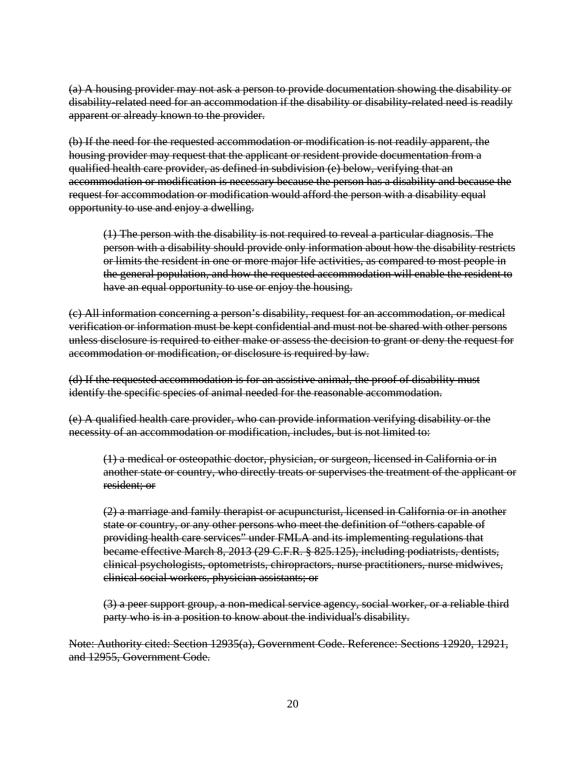(a) A housing provider may not ask a person to provide documentation showing the disability or disability-related need for an accommodation if the disability or disability-related need is readily apparent or already known to the provider.

(b) If the need for the requested accommodation or modification is not readily apparent, the housing provider may request that the applicant or resident provide documentation from a qualified health care provider, as defined in subdivision (e) below, verifying that an accommodation or modification is necessary because the person has a disability and because the request for accommodation or modification would afford the person with a disability equal opportunity to use and enjoy a dwelling.

(1) The person with the disability is not required to reveal a particular diagnosis. The person with a disability should provide only information about how the disability restricts or limits the resident in one or more major life activities, as compared to most people in the general population, and how the requested accommodation will enable the resident to have an equal opportunity to use or enjoy the housing.

(c) All information concerning a person's disability, request for an accommodation, or medical verification or information must be kept confidential and must not be shared with other persons unless disclosure is required to either make or assess the decision to grant or deny the request for accommodation or modification, or disclosure is required by law.

(d) If the requested accommodation is for an assistive animal, the proof of disability must identify the specific species of animal needed for the reasonable accommodation.

(e) A qualified health care provider, who can provide information verifying disability or the necessity of an accommodation or modification, includes, but is not limited to:

(1) a medical or osteopathic doctor, physician, or surgeon, licensed in California or in another state or country, who directly treats or supervises the treatment of the applicant or resident; or

(2) a marriage and family therapist or acupuncturist, licensed in California or in another state or country, or any other persons who meet the definition of "others capable of providing health care services" under FMLA and its implementing regulations that became effective March 8, 2013 (29 C.F.R. § 825.125), including podiatrists, dentists, clinical psychologists, optometrists, chiropractors, nurse practitioners, nurse midwives, clinical social workers, physician assistants; or

(3) a peer support group, a non-medical service agency, social worker, or a reliable third party who is in a position to know about the individual's disability.

Note: Authority cited: Section 12935(a), Government Code. Reference: Sections 12920, 12921, and 12955, Government Code.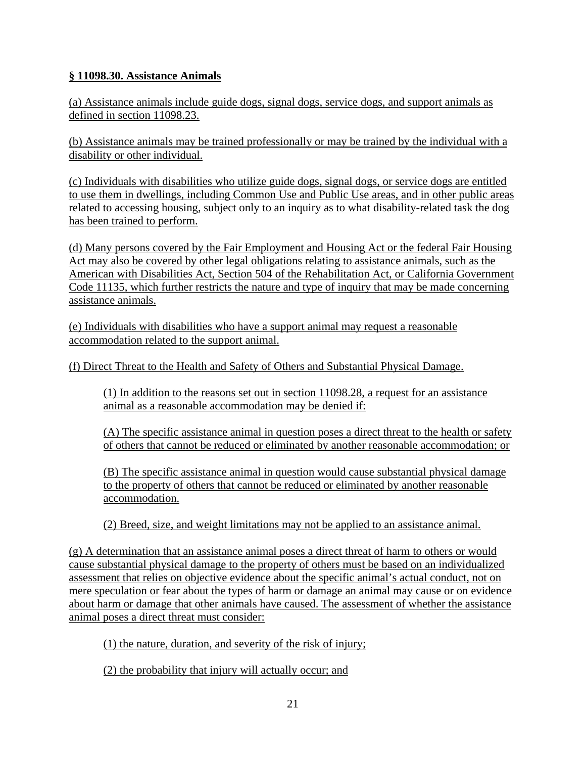# **§ 11098.30. Assistance Animals**

(a) Assistance animals include guide dogs, signal dogs, service dogs, and support animals as defined in section 11098.23.

(b) Assistance animals may be trained professionally or may be trained by the individual with a disability or other individual.

(c) Individuals with disabilities who utilize guide dogs, signal dogs, or service dogs are entitled to use them in dwellings, including Common Use and Public Use areas, and in other public areas related to accessing housing, subject only to an inquiry as to what disability-related task the dog has been trained to perform.

(d) Many persons covered by the Fair Employment and Housing Act or the federal Fair Housing Act may also be covered by other legal obligations relating to assistance animals, such as the American with Disabilities Act, Section 504 of the Rehabilitation Act, or California Government Code 11135, which further restricts the nature and type of inquiry that may be made concerning assistance animals.

(e) Individuals with disabilities who have a support animal may request a reasonable accommodation related to the support animal.

(f) Direct Threat to the Health and Safety of Others and Substantial Physical Damage.

(1) In addition to the reasons set out in section 11098.28, a request for an assistance animal as a reasonable accommodation may be denied if:

(A) The specific assistance animal in question poses a direct threat to the health or safety of others that cannot be reduced or eliminated by another reasonable accommodation; or

(B) The specific assistance animal in question would cause substantial physical damage to the property of others that cannot be reduced or eliminated by another reasonable accommodation.

(2) Breed, size, and weight limitations may not be applied to an assistance animal.

(g) A determination that an assistance animal poses a direct threat of harm to others or would cause substantial physical damage to the property of others must be based on an individualized assessment that relies on objective evidence about the specific animal's actual conduct, not on mere speculation or fear about the types of harm or damage an animal may cause or on evidence about harm or damage that other animals have caused. The assessment of whether the assistance animal poses a direct threat must consider:

(1) the nature, duration, and severity of the risk of injury;

(2) the probability that injury will actually occur; and